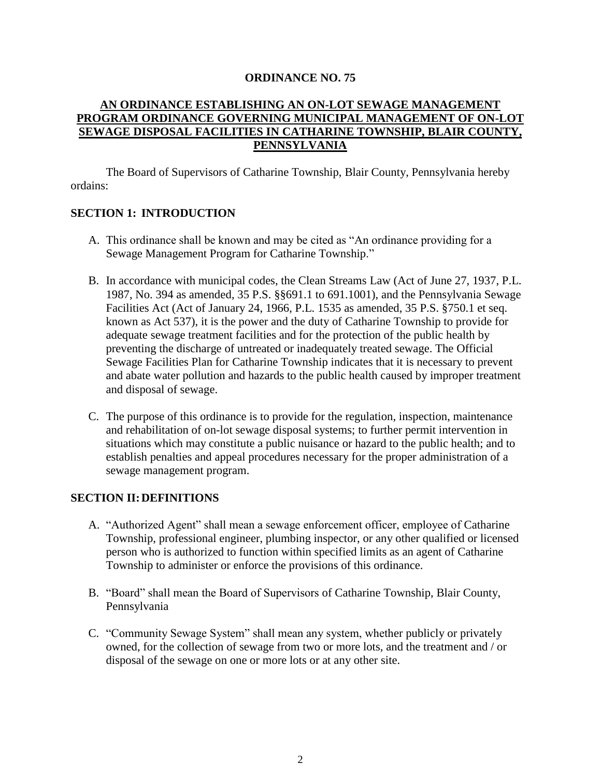#### **ORDINANCE NO. 75**

### **AN ORDINANCE ESTABLISHING AN ON-LOT SEWAGE MANAGEMENT PROGRAM ORDINANCE GOVERNING MUNICIPAL MANAGEMENT OF ON-LOT SEWAGE DISPOSAL FACILITIES IN CATHARINE TOWNSHIP, BLAIR COUNTY, PENNSYLVANIA**

The Board of Supervisors of Catharine Township, Blair County, Pennsylvania hereby ordains:

### **SECTION 1: INTRODUCTION**

- A. This ordinance shall be known and may be cited as "An ordinance providing for a Sewage Management Program for Catharine Township."
- B. In accordance with municipal codes, the Clean Streams Law (Act of June 27, 1937, P.L. 1987, No. 394 as amended, 35 P.S. §§691.1 to 691.1001), and the Pennsylvania Sewage Facilities Act (Act of January 24, 1966, P.L. 1535 as amended, 35 P.S. §750.1 et seq. known as Act 537), it is the power and the duty of Catharine Township to provide for adequate sewage treatment facilities and for the protection of the public health by preventing the discharge of untreated or inadequately treated sewage. The Official Sewage Facilities Plan for Catharine Township indicates that it is necessary to prevent and abate water pollution and hazards to the public health caused by improper treatment and disposal of sewage.
- C. The purpose of this ordinance is to provide for the regulation, inspection, maintenance and rehabilitation of on-lot sewage disposal systems; to further permit intervention in situations which may constitute a public nuisance or hazard to the public health; and to establish penalties and appeal procedures necessary for the proper administration of a sewage management program.

### **SECTION II:DEFINITIONS**

- A. "Authorized Agent" shall mean a sewage enforcement officer, employee of Catharine Township, professional engineer, plumbing inspector, or any other qualified or licensed person who is authorized to function within specified limits as an agent of Catharine Township to administer or enforce the provisions of this ordinance.
- B. "Board" shall mean the Board of Supervisors of Catharine Township, Blair County, Pennsylvania
- C. "Community Sewage System" shall mean any system, whether publicly or privately owned, for the collection of sewage from two or more lots, and the treatment and / or disposal of the sewage on one or more lots or at any other site.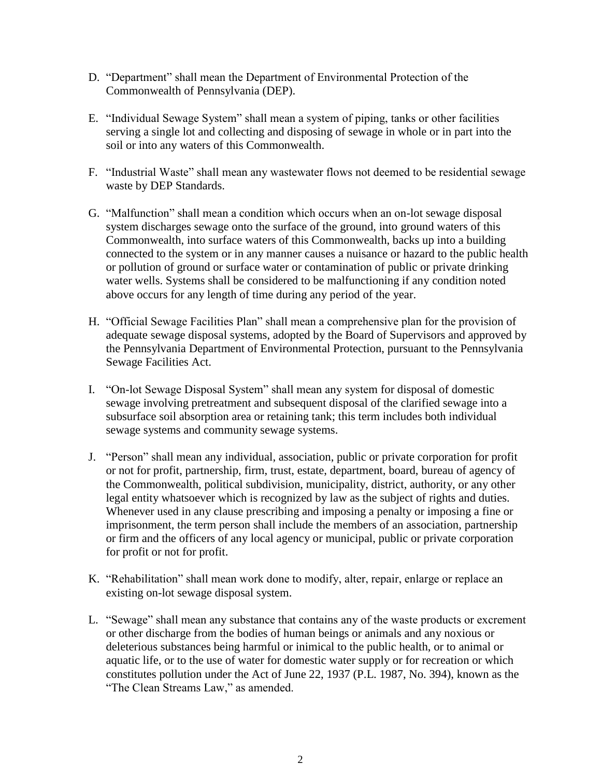- D. "Department" shall mean the Department of Environmental Protection of the Commonwealth of Pennsylvania (DEP).
- E. "Individual Sewage System" shall mean a system of piping, tanks or other facilities serving a single lot and collecting and disposing of sewage in whole or in part into the soil or into any waters of this Commonwealth.
- F. "Industrial Waste" shall mean any wastewater flows not deemed to be residential sewage waste by DEP Standards.
- G. "Malfunction" shall mean a condition which occurs when an on-lot sewage disposal system discharges sewage onto the surface of the ground, into ground waters of this Commonwealth, into surface waters of this Commonwealth, backs up into a building connected to the system or in any manner causes a nuisance or hazard to the public health or pollution of ground or surface water or contamination of public or private drinking water wells. Systems shall be considered to be malfunctioning if any condition noted above occurs for any length of time during any period of the year.
- H. "Official Sewage Facilities Plan" shall mean a comprehensive plan for the provision of adequate sewage disposal systems, adopted by the Board of Supervisors and approved by the Pennsylvania Department of Environmental Protection, pursuant to the Pennsylvania Sewage Facilities Act.
- I. "On-lot Sewage Disposal System" shall mean any system for disposal of domestic sewage involving pretreatment and subsequent disposal of the clarified sewage into a subsurface soil absorption area or retaining tank; this term includes both individual sewage systems and community sewage systems.
- J. "Person" shall mean any individual, association, public or private corporation for profit or not for profit, partnership, firm, trust, estate, department, board, bureau of agency of the Commonwealth, political subdivision, municipality, district, authority, or any other legal entity whatsoever which is recognized by law as the subject of rights and duties. Whenever used in any clause prescribing and imposing a penalty or imposing a fine or imprisonment, the term person shall include the members of an association, partnership or firm and the officers of any local agency or municipal, public or private corporation for profit or not for profit.
- K. "Rehabilitation" shall mean work done to modify, alter, repair, enlarge or replace an existing on-lot sewage disposal system.
- L. "Sewage" shall mean any substance that contains any of the waste products or excrement or other discharge from the bodies of human beings or animals and any noxious or deleterious substances being harmful or inimical to the public health, or to animal or aquatic life, or to the use of water for domestic water supply or for recreation or which constitutes pollution under the Act of June 22, 1937 (P.L. 1987, No. 394), known as the "The Clean Streams Law," as amended.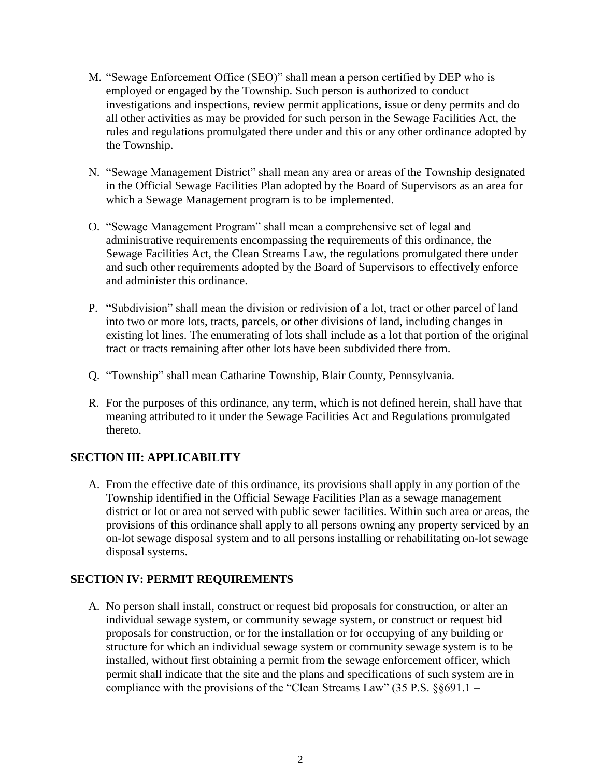- M. "Sewage Enforcement Office (SEO)" shall mean a person certified by DEP who is employed or engaged by the Township. Such person is authorized to conduct investigations and inspections, review permit applications, issue or deny permits and do all other activities as may be provided for such person in the Sewage Facilities Act, the rules and regulations promulgated there under and this or any other ordinance adopted by the Township.
- N. "Sewage Management District" shall mean any area or areas of the Township designated in the Official Sewage Facilities Plan adopted by the Board of Supervisors as an area for which a Sewage Management program is to be implemented.
- O. "Sewage Management Program" shall mean a comprehensive set of legal and administrative requirements encompassing the requirements of this ordinance, the Sewage Facilities Act, the Clean Streams Law, the regulations promulgated there under and such other requirements adopted by the Board of Supervisors to effectively enforce and administer this ordinance.
- P. "Subdivision" shall mean the division or redivision of a lot, tract or other parcel of land into two or more lots, tracts, parcels, or other divisions of land, including changes in existing lot lines. The enumerating of lots shall include as a lot that portion of the original tract or tracts remaining after other lots have been subdivided there from.
- Q. "Township" shall mean Catharine Township, Blair County, Pennsylvania.
- R. For the purposes of this ordinance, any term, which is not defined herein, shall have that meaning attributed to it under the Sewage Facilities Act and Regulations promulgated thereto.

## **SECTION III: APPLICABILITY**

A. From the effective date of this ordinance, its provisions shall apply in any portion of the Township identified in the Official Sewage Facilities Plan as a sewage management district or lot or area not served with public sewer facilities. Within such area or areas, the provisions of this ordinance shall apply to all persons owning any property serviced by an on-lot sewage disposal system and to all persons installing or rehabilitating on-lot sewage disposal systems.

## **SECTION IV: PERMIT REQUIREMENTS**

A. No person shall install, construct or request bid proposals for construction, or alter an individual sewage system, or community sewage system, or construct or request bid proposals for construction, or for the installation or for occupying of any building or structure for which an individual sewage system or community sewage system is to be installed, without first obtaining a permit from the sewage enforcement officer, which permit shall indicate that the site and the plans and specifications of such system are in compliance with the provisions of the "Clean Streams Law" (35 P.S. §§691.1 –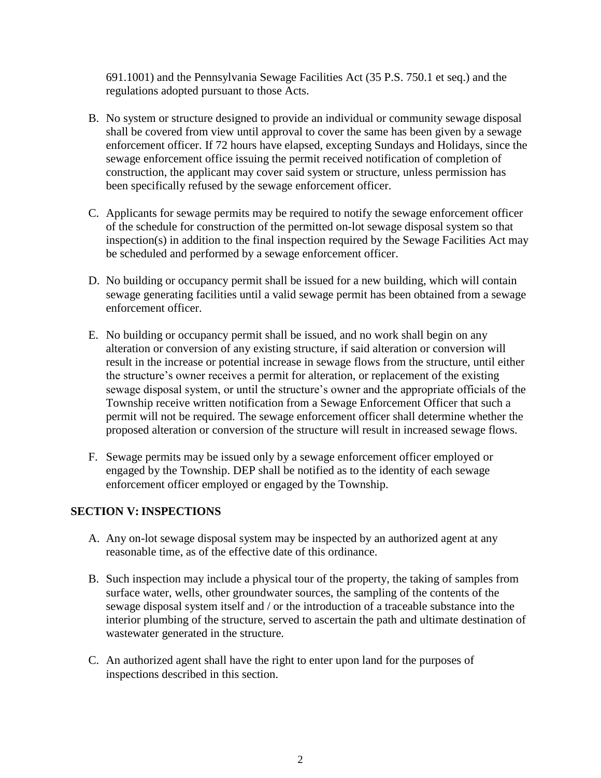691.1001) and the Pennsylvania Sewage Facilities Act (35 P.S. 750.1 et seq.) and the regulations adopted pursuant to those Acts.

- B. No system or structure designed to provide an individual or community sewage disposal shall be covered from view until approval to cover the same has been given by a sewage enforcement officer. If 72 hours have elapsed, excepting Sundays and Holidays, since the sewage enforcement office issuing the permit received notification of completion of construction, the applicant may cover said system or structure, unless permission has been specifically refused by the sewage enforcement officer.
- C. Applicants for sewage permits may be required to notify the sewage enforcement officer of the schedule for construction of the permitted on-lot sewage disposal system so that inspection(s) in addition to the final inspection required by the Sewage Facilities Act may be scheduled and performed by a sewage enforcement officer.
- D. No building or occupancy permit shall be issued for a new building, which will contain sewage generating facilities until a valid sewage permit has been obtained from a sewage enforcement officer.
- E. No building or occupancy permit shall be issued, and no work shall begin on any alteration or conversion of any existing structure, if said alteration or conversion will result in the increase or potential increase in sewage flows from the structure, until either the structure's owner receives a permit for alteration, or replacement of the existing sewage disposal system, or until the structure's owner and the appropriate officials of the Township receive written notification from a Sewage Enforcement Officer that such a permit will not be required. The sewage enforcement officer shall determine whether the proposed alteration or conversion of the structure will result in increased sewage flows.
- F. Sewage permits may be issued only by a sewage enforcement officer employed or engaged by the Township. DEP shall be notified as to the identity of each sewage enforcement officer employed or engaged by the Township.

## **SECTION V: INSPECTIONS**

- A. Any on-lot sewage disposal system may be inspected by an authorized agent at any reasonable time, as of the effective date of this ordinance.
- B. Such inspection may include a physical tour of the property, the taking of samples from surface water, wells, other groundwater sources, the sampling of the contents of the sewage disposal system itself and / or the introduction of a traceable substance into the interior plumbing of the structure, served to ascertain the path and ultimate destination of wastewater generated in the structure.
- C. An authorized agent shall have the right to enter upon land for the purposes of inspections described in this section.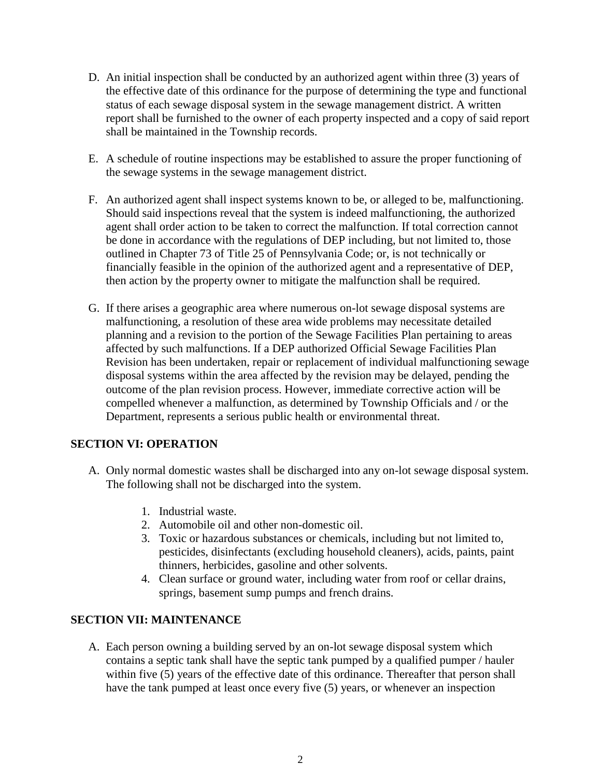- D. An initial inspection shall be conducted by an authorized agent within three (3) years of the effective date of this ordinance for the purpose of determining the type and functional status of each sewage disposal system in the sewage management district. A written report shall be furnished to the owner of each property inspected and a copy of said report shall be maintained in the Township records.
- E. A schedule of routine inspections may be established to assure the proper functioning of the sewage systems in the sewage management district.
- F. An authorized agent shall inspect systems known to be, or alleged to be, malfunctioning. Should said inspections reveal that the system is indeed malfunctioning, the authorized agent shall order action to be taken to correct the malfunction. If total correction cannot be done in accordance with the regulations of DEP including, but not limited to, those outlined in Chapter 73 of Title 25 of Pennsylvania Code; or, is not technically or financially feasible in the opinion of the authorized agent and a representative of DEP, then action by the property owner to mitigate the malfunction shall be required.
- G. If there arises a geographic area where numerous on-lot sewage disposal systems are malfunctioning, a resolution of these area wide problems may necessitate detailed planning and a revision to the portion of the Sewage Facilities Plan pertaining to areas affected by such malfunctions. If a DEP authorized Official Sewage Facilities Plan Revision has been undertaken, repair or replacement of individual malfunctioning sewage disposal systems within the area affected by the revision may be delayed, pending the outcome of the plan revision process. However, immediate corrective action will be compelled whenever a malfunction, as determined by Township Officials and / or the Department, represents a serious public health or environmental threat.

## **SECTION VI: OPERATION**

- A. Only normal domestic wastes shall be discharged into any on-lot sewage disposal system. The following shall not be discharged into the system.
	- 1. Industrial waste.
	- 2. Automobile oil and other non-domestic oil.
	- 3. Toxic or hazardous substances or chemicals, including but not limited to, pesticides, disinfectants (excluding household cleaners), acids, paints, paint thinners, herbicides, gasoline and other solvents.
	- 4. Clean surface or ground water, including water from roof or cellar drains, springs, basement sump pumps and french drains.

### **SECTION VII: MAINTENANCE**

A. Each person owning a building served by an on-lot sewage disposal system which contains a septic tank shall have the septic tank pumped by a qualified pumper / hauler within five (5) years of the effective date of this ordinance. Thereafter that person shall have the tank pumped at least once every five (5) years, or whenever an inspection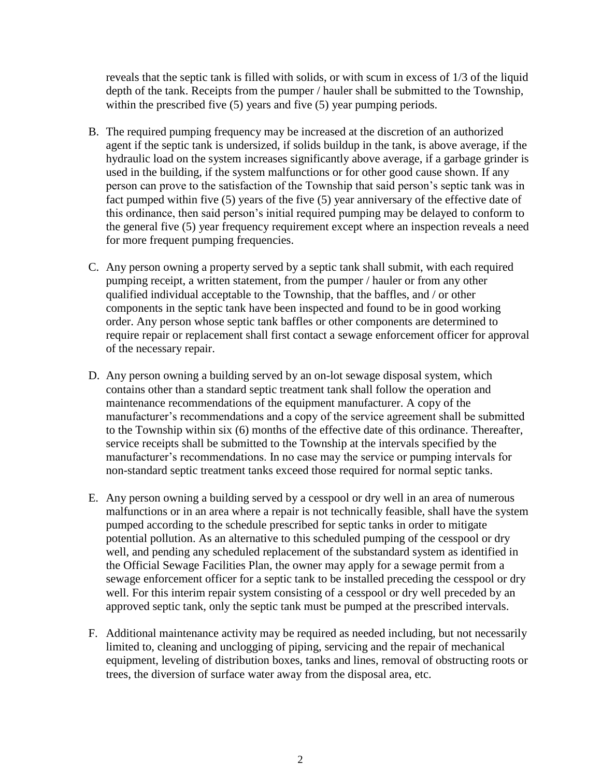reveals that the septic tank is filled with solids, or with scum in excess of 1/3 of the liquid depth of the tank. Receipts from the pumper / hauler shall be submitted to the Township, within the prescribed five (5) years and five (5) year pumping periods.

- B. The required pumping frequency may be increased at the discretion of an authorized agent if the septic tank is undersized, if solids buildup in the tank, is above average, if the hydraulic load on the system increases significantly above average, if a garbage grinder is used in the building, if the system malfunctions or for other good cause shown. If any person can prove to the satisfaction of the Township that said person's septic tank was in fact pumped within five (5) years of the five (5) year anniversary of the effective date of this ordinance, then said person's initial required pumping may be delayed to conform to the general five (5) year frequency requirement except where an inspection reveals a need for more frequent pumping frequencies.
- C. Any person owning a property served by a septic tank shall submit, with each required pumping receipt, a written statement, from the pumper / hauler or from any other qualified individual acceptable to the Township, that the baffles, and / or other components in the septic tank have been inspected and found to be in good working order. Any person whose septic tank baffles or other components are determined to require repair or replacement shall first contact a sewage enforcement officer for approval of the necessary repair.
- D. Any person owning a building served by an on-lot sewage disposal system, which contains other than a standard septic treatment tank shall follow the operation and maintenance recommendations of the equipment manufacturer. A copy of the manufacturer's recommendations and a copy of the service agreement shall be submitted to the Township within six (6) months of the effective date of this ordinance. Thereafter, service receipts shall be submitted to the Township at the intervals specified by the manufacturer's recommendations. In no case may the service or pumping intervals for non-standard septic treatment tanks exceed those required for normal septic tanks.
- E. Any person owning a building served by a cesspool or dry well in an area of numerous malfunctions or in an area where a repair is not technically feasible, shall have the system pumped according to the schedule prescribed for septic tanks in order to mitigate potential pollution. As an alternative to this scheduled pumping of the cesspool or dry well, and pending any scheduled replacement of the substandard system as identified in the Official Sewage Facilities Plan, the owner may apply for a sewage permit from a sewage enforcement officer for a septic tank to be installed preceding the cesspool or dry well. For this interim repair system consisting of a cesspool or dry well preceded by an approved septic tank, only the septic tank must be pumped at the prescribed intervals.
- F. Additional maintenance activity may be required as needed including, but not necessarily limited to, cleaning and unclogging of piping, servicing and the repair of mechanical equipment, leveling of distribution boxes, tanks and lines, removal of obstructing roots or trees, the diversion of surface water away from the disposal area, etc.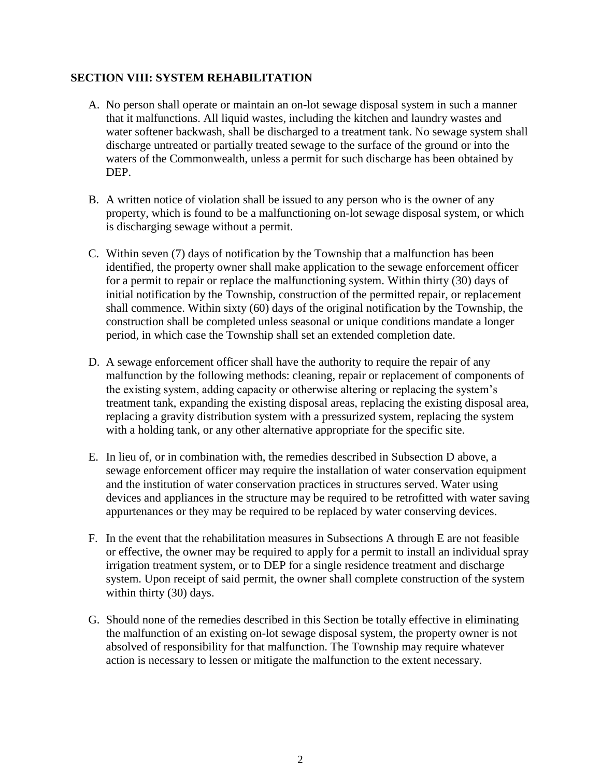### **SECTION VIII: SYSTEM REHABILITATION**

- A. No person shall operate or maintain an on-lot sewage disposal system in such a manner that it malfunctions. All liquid wastes, including the kitchen and laundry wastes and water softener backwash, shall be discharged to a treatment tank. No sewage system shall discharge untreated or partially treated sewage to the surface of the ground or into the waters of the Commonwealth, unless a permit for such discharge has been obtained by DEP.
- B. A written notice of violation shall be issued to any person who is the owner of any property, which is found to be a malfunctioning on-lot sewage disposal system, or which is discharging sewage without a permit.
- C. Within seven (7) days of notification by the Township that a malfunction has been identified, the property owner shall make application to the sewage enforcement officer for a permit to repair or replace the malfunctioning system. Within thirty (30) days of initial notification by the Township, construction of the permitted repair, or replacement shall commence. Within sixty (60) days of the original notification by the Township, the construction shall be completed unless seasonal or unique conditions mandate a longer period, in which case the Township shall set an extended completion date.
- D. A sewage enforcement officer shall have the authority to require the repair of any malfunction by the following methods: cleaning, repair or replacement of components of the existing system, adding capacity or otherwise altering or replacing the system's treatment tank, expanding the existing disposal areas, replacing the existing disposal area, replacing a gravity distribution system with a pressurized system, replacing the system with a holding tank, or any other alternative appropriate for the specific site.
- E. In lieu of, or in combination with, the remedies described in Subsection D above, a sewage enforcement officer may require the installation of water conservation equipment and the institution of water conservation practices in structures served. Water using devices and appliances in the structure may be required to be retrofitted with water saving appurtenances or they may be required to be replaced by water conserving devices.
- F. In the event that the rehabilitation measures in Subsections A through E are not feasible or effective, the owner may be required to apply for a permit to install an individual spray irrigation treatment system, or to DEP for a single residence treatment and discharge system. Upon receipt of said permit, the owner shall complete construction of the system within thirty (30) days.
- G. Should none of the remedies described in this Section be totally effective in eliminating the malfunction of an existing on-lot sewage disposal system, the property owner is not absolved of responsibility for that malfunction. The Township may require whatever action is necessary to lessen or mitigate the malfunction to the extent necessary.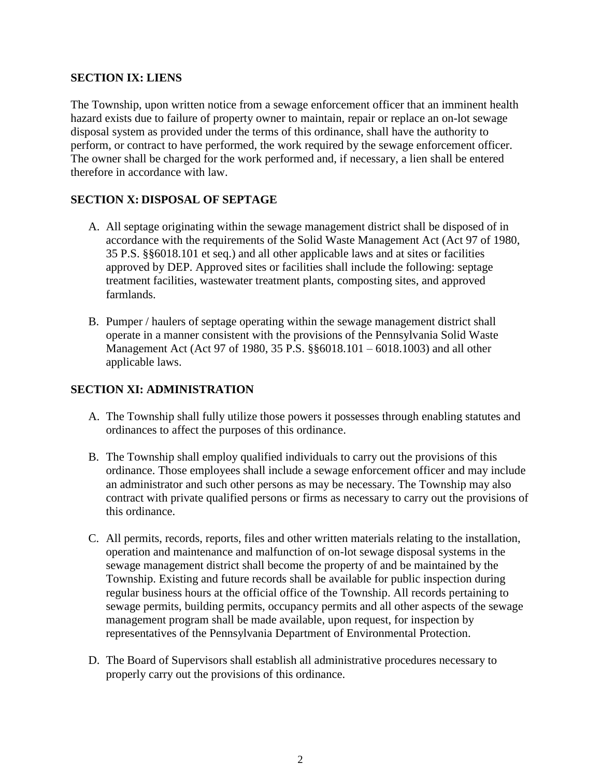### **SECTION IX: LIENS**

The Township, upon written notice from a sewage enforcement officer that an imminent health hazard exists due to failure of property owner to maintain, repair or replace an on-lot sewage disposal system as provided under the terms of this ordinance, shall have the authority to perform, or contract to have performed, the work required by the sewage enforcement officer. The owner shall be charged for the work performed and, if necessary, a lien shall be entered therefore in accordance with law.

## **SECTION X: DISPOSAL OF SEPTAGE**

- A. All septage originating within the sewage management district shall be disposed of in accordance with the requirements of the Solid Waste Management Act (Act 97 of 1980, 35 P.S. §§6018.101 et seq.) and all other applicable laws and at sites or facilities approved by DEP. Approved sites or facilities shall include the following: septage treatment facilities, wastewater treatment plants, composting sites, and approved farmlands.
- B. Pumper / haulers of septage operating within the sewage management district shall operate in a manner consistent with the provisions of the Pennsylvania Solid Waste Management Act (Act 97 of 1980, 35 P.S. §§6018.101 – 6018.1003) and all other applicable laws.

## **SECTION XI: ADMINISTRATION**

- A. The Township shall fully utilize those powers it possesses through enabling statutes and ordinances to affect the purposes of this ordinance.
- B. The Township shall employ qualified individuals to carry out the provisions of this ordinance. Those employees shall include a sewage enforcement officer and may include an administrator and such other persons as may be necessary. The Township may also contract with private qualified persons or firms as necessary to carry out the provisions of this ordinance.
- C. All permits, records, reports, files and other written materials relating to the installation, operation and maintenance and malfunction of on-lot sewage disposal systems in the sewage management district shall become the property of and be maintained by the Township. Existing and future records shall be available for public inspection during regular business hours at the official office of the Township. All records pertaining to sewage permits, building permits, occupancy permits and all other aspects of the sewage management program shall be made available, upon request, for inspection by representatives of the Pennsylvania Department of Environmental Protection.
- D. The Board of Supervisors shall establish all administrative procedures necessary to properly carry out the provisions of this ordinance.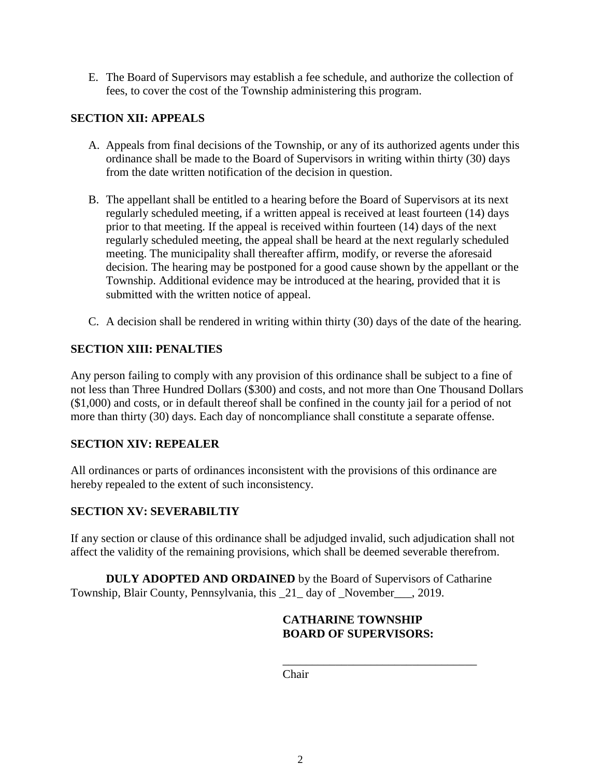E. The Board of Supervisors may establish a fee schedule, and authorize the collection of fees, to cover the cost of the Township administering this program.

## **SECTION XII: APPEALS**

- A. Appeals from final decisions of the Township, or any of its authorized agents under this ordinance shall be made to the Board of Supervisors in writing within thirty (30) days from the date written notification of the decision in question.
- B. The appellant shall be entitled to a hearing before the Board of Supervisors at its next regularly scheduled meeting, if a written appeal is received at least fourteen (14) days prior to that meeting. If the appeal is received within fourteen (14) days of the next regularly scheduled meeting, the appeal shall be heard at the next regularly scheduled meeting. The municipality shall thereafter affirm, modify, or reverse the aforesaid decision. The hearing may be postponed for a good cause shown by the appellant or the Township. Additional evidence may be introduced at the hearing, provided that it is submitted with the written notice of appeal.
- C. A decision shall be rendered in writing within thirty (30) days of the date of the hearing.

# **SECTION XIII: PENALTIES**

Any person failing to comply with any provision of this ordinance shall be subject to a fine of not less than Three Hundred Dollars (\$300) and costs, and not more than One Thousand Dollars (\$1,000) and costs, or in default thereof shall be confined in the county jail for a period of not more than thirty (30) days. Each day of noncompliance shall constitute a separate offense.

## **SECTION XIV: REPEALER**

All ordinances or parts of ordinances inconsistent with the provisions of this ordinance are hereby repealed to the extent of such inconsistency.

## **SECTION XV: SEVERABILTIY**

If any section or clause of this ordinance shall be adjudged invalid, such adjudication shall not affect the validity of the remaining provisions, which shall be deemed severable therefrom.

**DULY ADOPTED AND ORDAINED** by the Board of Supervisors of Catharine Township, Blair County, Pennsylvania, this \_21\_ day of \_November\_\_\_, 2019.

### **CATHARINE TOWNSHIP BOARD OF SUPERVISORS:**

\_\_\_\_\_\_\_\_\_\_\_\_\_\_\_\_\_\_\_\_\_\_\_\_\_\_\_\_\_\_\_\_\_

Chair